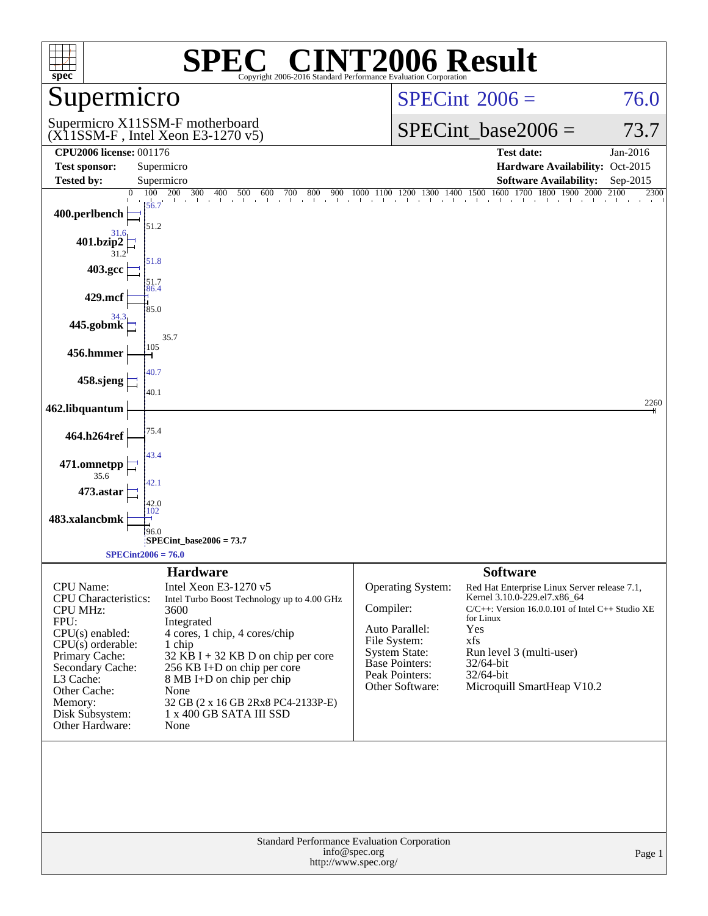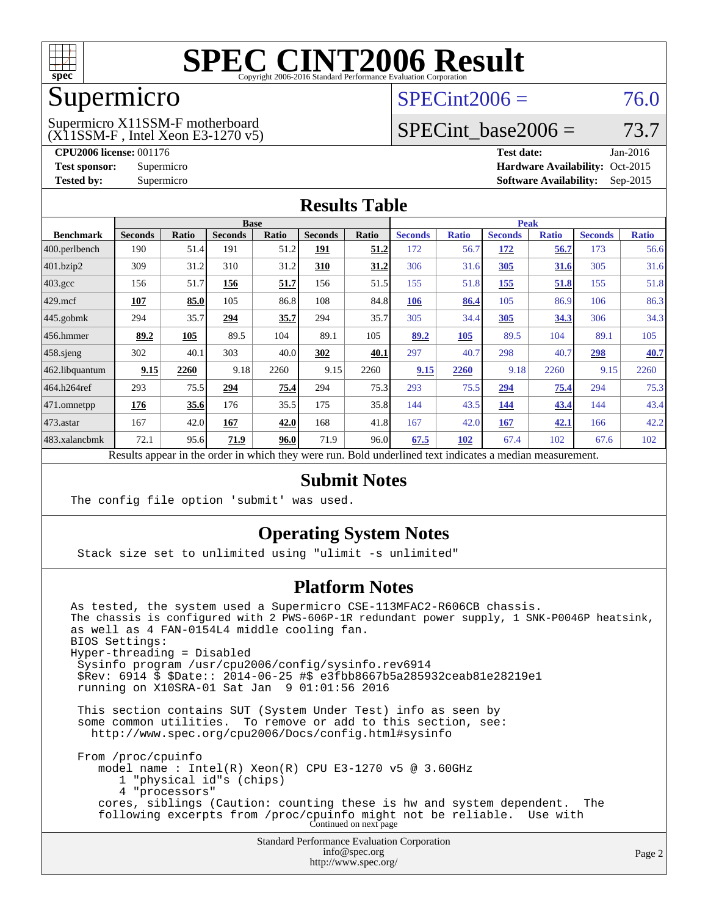

## Supermicro

## $SPECint2006 = 76.0$  $SPECint2006 = 76.0$

(X11SSM-F , Intel Xeon E3-1270 v5) Supermicro X11SSM-F motherboard

SPECint base2006 =  $73.7$ 

**[CPU2006 license:](http://www.spec.org/auto/cpu2006/Docs/result-fields.html#CPU2006license)** 001176 **[Test date:](http://www.spec.org/auto/cpu2006/Docs/result-fields.html#Testdate)** Jan-2016 **[Test sponsor:](http://www.spec.org/auto/cpu2006/Docs/result-fields.html#Testsponsor)** Supermicro Supermicro **[Hardware Availability:](http://www.spec.org/auto/cpu2006/Docs/result-fields.html#HardwareAvailability)** Oct-2015 **[Tested by:](http://www.spec.org/auto/cpu2006/Docs/result-fields.html#Testedby)** Supermicro **Supermicro [Software Availability:](http://www.spec.org/auto/cpu2006/Docs/result-fields.html#SoftwareAvailability)** Sep-2015

#### **[Results Table](http://www.spec.org/auto/cpu2006/Docs/result-fields.html#ResultsTable)**

|                                                                                                          | <b>Base</b>    |              |                |              |                | <b>Peak</b> |                |              |                |              |                |              |
|----------------------------------------------------------------------------------------------------------|----------------|--------------|----------------|--------------|----------------|-------------|----------------|--------------|----------------|--------------|----------------|--------------|
| <b>Benchmark</b>                                                                                         | <b>Seconds</b> | <b>Ratio</b> | <b>Seconds</b> | <b>Ratio</b> | <b>Seconds</b> | Ratio       | <b>Seconds</b> | <b>Ratio</b> | <b>Seconds</b> | <b>Ratio</b> | <b>Seconds</b> | <b>Ratio</b> |
| 400.perlbench                                                                                            | 190            | 51.4         | 191            | 51.2         | 191            | 51.2        | 172            | 56.7         | 172            | 56.7         | 173            | 56.6         |
| 401.bzip2                                                                                                | 309            | 31.2         | 310            | 31.2         | 310            | 31.2        | 306            | 31.6         | 305            | 31.6         | 305            | 31.6         |
| $403.\text{gcc}$                                                                                         | 156            | 51.7         | 156            | 51.7         | 156            | 51.5        | 155            | 51.8         | 155            | 51.8         | 155            | 51.8         |
| $429$ .mcf                                                                                               | 107            | 85.0         | 105            | 86.8         | 108            | 84.8        | 106            | 86.4         | 105            | 86.9         | 106            | 86.3         |
| $445$ .gobmk                                                                                             | 294            | 35.7         | 294            | 35.7         | 294            | 35.7        | 305            | 34.4         | 305            | 34.3         | 306            | 34.3         |
| $456.$ hmmer                                                                                             | 89.2           | 105          | 89.5           | 104          | 89.1           | 105         | 89.2           | 105          | 89.5           | 104          | 89.1           | 105          |
| $458$ .sjeng                                                                                             | 302            | 40.1         | 303            | 40.0         | 302            | 40.1        | 297            | 40.7         | 298            | 40.7         | 298            | 40.7         |
| 462.libquantum                                                                                           | 9.15           | 2260         | 9.18           | 2260         | 9.15           | 2260        | 9.15           | 2260         | 9.18           | 2260         | 9.15           | 2260         |
| 464.h264ref                                                                                              | 293            | 75.5         | 294            | 75.4         | 294            | 75.3        | 293            | 75.5         | 294            | 75.4         | 294            | 75.3         |
| 471.omnetpp                                                                                              | 176            | 35.6         | 176            | 35.5         | 175            | 35.8        | 144            | 43.5         | 144            | 43.4         | 144            | 43.4         |
| $473$ . astar                                                                                            | 167            | 42.0         | 167            | 42.0         | 168            | 41.8        | 167            | 42.0         | 167            | 42.1         | 166            | 42.2         |
| 483.xalancbmk                                                                                            | 72.1           | 95.6         | 71.9           | 96.0         | 71.9           | 96.0        | 67.5           | 102          | 67.4           | 102          | 67.6           | 102          |
| Results appear in the order in which they were run. Bold underlined text indicates a median measurement. |                |              |                |              |                |             |                |              |                |              |                |              |

#### **[Submit Notes](http://www.spec.org/auto/cpu2006/Docs/result-fields.html#SubmitNotes)**

The config file option 'submit' was used.

#### **[Operating System Notes](http://www.spec.org/auto/cpu2006/Docs/result-fields.html#OperatingSystemNotes)**

Stack size set to unlimited using "ulimit -s unlimited"

#### **[Platform Notes](http://www.spec.org/auto/cpu2006/Docs/result-fields.html#PlatformNotes)**

Standard Performance Evaluation Corporation [info@spec.org](mailto:info@spec.org) As tested, the system used a Supermicro CSE-113MFAC2-R606CB chassis. The chassis is configured with 2 PWS-606P-1R redundant power supply, 1 SNK-P0046P heatsink, as well as 4 FAN-0154L4 middle cooling fan. BIOS Settings: Hyper-threading = Disabled Sysinfo program /usr/cpu2006/config/sysinfo.rev6914 \$Rev: 6914 \$ \$Date:: 2014-06-25 #\$ e3fbb8667b5a285932ceab81e28219e1 running on X10SRA-01 Sat Jan 9 01:01:56 2016 This section contains SUT (System Under Test) info as seen by some common utilities. To remove or add to this section, see: <http://www.spec.org/cpu2006/Docs/config.html#sysinfo> From /proc/cpuinfo model name : Intel(R) Xeon(R) CPU E3-1270 v5 @ 3.60GHz 1 "physical id"s (chips) 4 "processors" cores, siblings (Caution: counting these is hw and system dependent. The following excerpts from /proc/cpuinfo might not be reliable. Use with Continued on next page

<http://www.spec.org/>

Page 2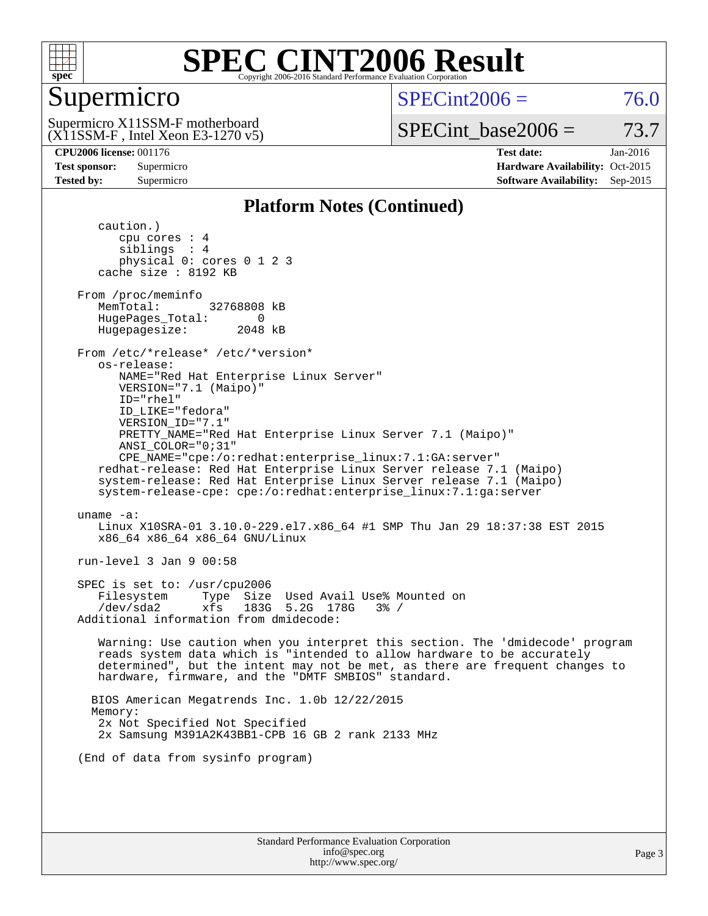

## Supermicro

 $SPECint2006 = 76.0$  $SPECint2006 = 76.0$ 

(X11SSM-F , Intel Xeon E3-1270 v5) Supermicro X11SSM-F motherboard

SPECint base2006 =  $73.7$ 

**[CPU2006 license:](http://www.spec.org/auto/cpu2006/Docs/result-fields.html#CPU2006license)** 001176 **[Test date:](http://www.spec.org/auto/cpu2006/Docs/result-fields.html#Testdate)** Jan-2016 **[Test sponsor:](http://www.spec.org/auto/cpu2006/Docs/result-fields.html#Testsponsor)** Supermicro Supermicro **[Hardware Availability:](http://www.spec.org/auto/cpu2006/Docs/result-fields.html#HardwareAvailability)** Oct-2015 **[Tested by:](http://www.spec.org/auto/cpu2006/Docs/result-fields.html#Testedby)** Supermicro **Supermicro [Software Availability:](http://www.spec.org/auto/cpu2006/Docs/result-fields.html#SoftwareAvailability)** Sep-2015

#### **[Platform Notes \(Continued\)](http://www.spec.org/auto/cpu2006/Docs/result-fields.html#PlatformNotes)**

 caution.) cpu cores : 4 siblings : 4 physical 0: cores 0 1 2 3 cache size : 8192 KB From /proc/meminfo MemTotal: 32768808 kB HugePages\_Total: 0<br>Hugepagesize: 2048 kB Hugepagesize: From /etc/\*release\* /etc/\*version\* os-release: NAME="Red Hat Enterprise Linux Server" VERSION="7.1 (Maipo)" ID="rhel" ID\_LIKE="fedora" VERSION\_ID="7.1" PRETTY\_NAME="Red Hat Enterprise Linux Server 7.1 (Maipo)" ANSI\_COLOR="0;31" CPE\_NAME="cpe:/o:redhat:enterprise\_linux:7.1:GA:server" redhat-release: Red Hat Enterprise Linux Server release 7.1 (Maipo) system-release: Red Hat Enterprise Linux Server release 7.1 (Maipo) system-release-cpe: cpe:/o:redhat:enterprise\_linux:7.1:ga:server uname -a: Linux X10SRA-01 3.10.0-229.el7.x86\_64 #1 SMP Thu Jan 29 18:37:38 EST 2015 x86\_64 x86\_64 x86\_64 GNU/Linux run-level 3 Jan 9 00:58 SPEC is set to: /usr/cpu2006 Filesystem Type Size Used Avail Use% Mounted on /dev/sda2 xfs 183G 5.2G 178G 3% / Additional information from dmidecode: Warning: Use caution when you interpret this section. The 'dmidecode' program reads system data which is "intended to allow hardware to be accurately determined", but the intent may not be met, as there are frequent changes to hardware, firmware, and the "DMTF SMBIOS" standard. BIOS American Megatrends Inc. 1.0b 12/22/2015 Memory: 2x Not Specified Not Specified 2x Samsung M391A2K43BB1-CPB 16 GB 2 rank 2133 MHz (End of data from sysinfo program)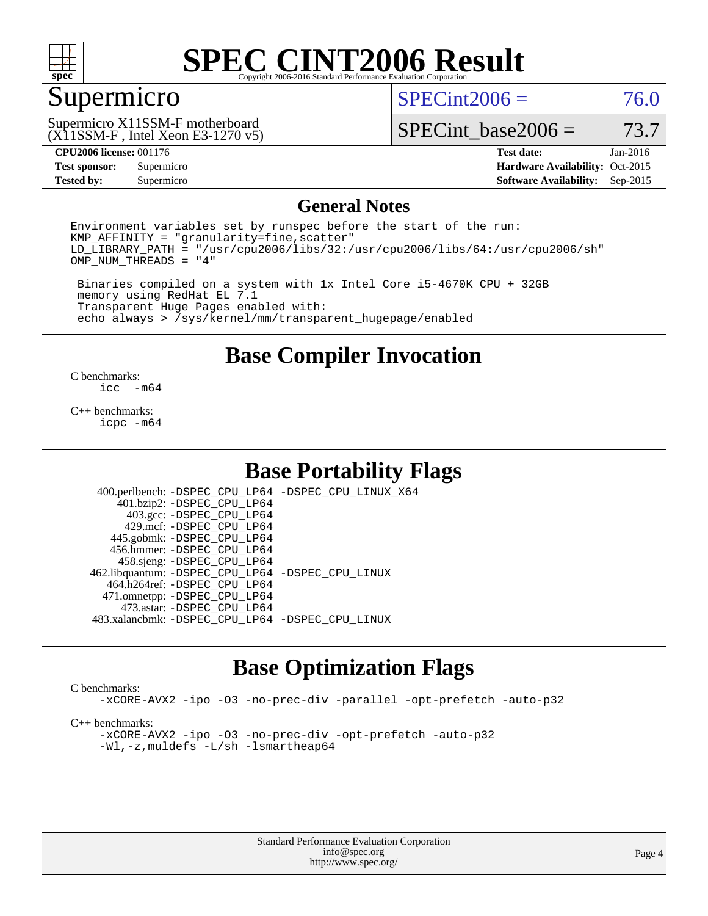

#### Supermicro

 $SPECint2006 = 76.0$  $SPECint2006 = 76.0$ 

(X11SSM-F , Intel Xeon E3-1270 v5) Supermicro X11SSM-F motherboard

SPECint base2006 =  $73.7$ 

**[Test sponsor:](http://www.spec.org/auto/cpu2006/Docs/result-fields.html#Testsponsor)** Supermicro Supermicro **[Hardware Availability:](http://www.spec.org/auto/cpu2006/Docs/result-fields.html#HardwareAvailability)** Oct-2015 **[Tested by:](http://www.spec.org/auto/cpu2006/Docs/result-fields.html#Testedby)** Supermicro **Supermicro [Software Availability:](http://www.spec.org/auto/cpu2006/Docs/result-fields.html#SoftwareAvailability)** Sep-2015

**[CPU2006 license:](http://www.spec.org/auto/cpu2006/Docs/result-fields.html#CPU2006license)** 001176 **[Test date:](http://www.spec.org/auto/cpu2006/Docs/result-fields.html#Testdate)** Jan-2016

#### **[General Notes](http://www.spec.org/auto/cpu2006/Docs/result-fields.html#GeneralNotes)**

Environment variables set by runspec before the start of the run:  $KMP$  AFFINITY = "granularity=fine, scatter" LD\_LIBRARY\_PATH = "/usr/cpu2006/libs/32:/usr/cpu2006/libs/64:/usr/cpu2006/sh" OMP\_NUM\_THREADS = "4"

 Binaries compiled on a system with 1x Intel Core i5-4670K CPU + 32GB memory using RedHat EL 7.1 Transparent Huge Pages enabled with: echo always > /sys/kernel/mm/transparent\_hugepage/enabled

#### **[Base Compiler Invocation](http://www.spec.org/auto/cpu2006/Docs/result-fields.html#BaseCompilerInvocation)**

 $\frac{C \text{ benchmarks:}}{C \text{ C}}$ -m64

[C++ benchmarks:](http://www.spec.org/auto/cpu2006/Docs/result-fields.html#CXXbenchmarks) [icpc -m64](http://www.spec.org/cpu2006/results/res2016q1/cpu2006-20160111-38648.flags.html#user_CXXbase_intel_icpc_64bit_fc66a5337ce925472a5c54ad6a0de310)

#### **[Base Portability Flags](http://www.spec.org/auto/cpu2006/Docs/result-fields.html#BasePortabilityFlags)**

 400.perlbench: [-DSPEC\\_CPU\\_LP64](http://www.spec.org/cpu2006/results/res2016q1/cpu2006-20160111-38648.flags.html#b400.perlbench_basePORTABILITY_DSPEC_CPU_LP64) [-DSPEC\\_CPU\\_LINUX\\_X64](http://www.spec.org/cpu2006/results/res2016q1/cpu2006-20160111-38648.flags.html#b400.perlbench_baseCPORTABILITY_DSPEC_CPU_LINUX_X64) 401.bzip2: [-DSPEC\\_CPU\\_LP64](http://www.spec.org/cpu2006/results/res2016q1/cpu2006-20160111-38648.flags.html#suite_basePORTABILITY401_bzip2_DSPEC_CPU_LP64) 403.gcc: [-DSPEC\\_CPU\\_LP64](http://www.spec.org/cpu2006/results/res2016q1/cpu2006-20160111-38648.flags.html#suite_basePORTABILITY403_gcc_DSPEC_CPU_LP64) 429.mcf: [-DSPEC\\_CPU\\_LP64](http://www.spec.org/cpu2006/results/res2016q1/cpu2006-20160111-38648.flags.html#suite_basePORTABILITY429_mcf_DSPEC_CPU_LP64) 445.gobmk: [-DSPEC\\_CPU\\_LP64](http://www.spec.org/cpu2006/results/res2016q1/cpu2006-20160111-38648.flags.html#suite_basePORTABILITY445_gobmk_DSPEC_CPU_LP64) 456.hmmer: [-DSPEC\\_CPU\\_LP64](http://www.spec.org/cpu2006/results/res2016q1/cpu2006-20160111-38648.flags.html#suite_basePORTABILITY456_hmmer_DSPEC_CPU_LP64) 458.sjeng: [-DSPEC\\_CPU\\_LP64](http://www.spec.org/cpu2006/results/res2016q1/cpu2006-20160111-38648.flags.html#suite_basePORTABILITY458_sjeng_DSPEC_CPU_LP64) 462.libquantum: [-DSPEC\\_CPU\\_LP64](http://www.spec.org/cpu2006/results/res2016q1/cpu2006-20160111-38648.flags.html#suite_basePORTABILITY462_libquantum_DSPEC_CPU_LP64) [-DSPEC\\_CPU\\_LINUX](http://www.spec.org/cpu2006/results/res2016q1/cpu2006-20160111-38648.flags.html#b462.libquantum_baseCPORTABILITY_DSPEC_CPU_LINUX) 464.h264ref: [-DSPEC\\_CPU\\_LP64](http://www.spec.org/cpu2006/results/res2016q1/cpu2006-20160111-38648.flags.html#suite_basePORTABILITY464_h264ref_DSPEC_CPU_LP64) 471.omnetpp: [-DSPEC\\_CPU\\_LP64](http://www.spec.org/cpu2006/results/res2016q1/cpu2006-20160111-38648.flags.html#suite_basePORTABILITY471_omnetpp_DSPEC_CPU_LP64) 473.astar: [-DSPEC\\_CPU\\_LP64](http://www.spec.org/cpu2006/results/res2016q1/cpu2006-20160111-38648.flags.html#suite_basePORTABILITY473_astar_DSPEC_CPU_LP64) 483.xalancbmk: [-DSPEC\\_CPU\\_LP64](http://www.spec.org/cpu2006/results/res2016q1/cpu2006-20160111-38648.flags.html#suite_basePORTABILITY483_xalancbmk_DSPEC_CPU_LP64) [-DSPEC\\_CPU\\_LINUX](http://www.spec.org/cpu2006/results/res2016q1/cpu2006-20160111-38648.flags.html#b483.xalancbmk_baseCXXPORTABILITY_DSPEC_CPU_LINUX)

## **[Base Optimization Flags](http://www.spec.org/auto/cpu2006/Docs/result-fields.html#BaseOptimizationFlags)**

#### [C benchmarks](http://www.spec.org/auto/cpu2006/Docs/result-fields.html#Cbenchmarks):

[-xCORE-AVX2](http://www.spec.org/cpu2006/results/res2016q1/cpu2006-20160111-38648.flags.html#user_CCbase_f-xAVX2_5f5fc0cbe2c9f62c816d3e45806c70d7) [-ipo](http://www.spec.org/cpu2006/results/res2016q1/cpu2006-20160111-38648.flags.html#user_CCbase_f-ipo) [-O3](http://www.spec.org/cpu2006/results/res2016q1/cpu2006-20160111-38648.flags.html#user_CCbase_f-O3) [-no-prec-div](http://www.spec.org/cpu2006/results/res2016q1/cpu2006-20160111-38648.flags.html#user_CCbase_f-no-prec-div) [-parallel](http://www.spec.org/cpu2006/results/res2016q1/cpu2006-20160111-38648.flags.html#user_CCbase_f-parallel) [-opt-prefetch](http://www.spec.org/cpu2006/results/res2016q1/cpu2006-20160111-38648.flags.html#user_CCbase_f-opt-prefetch) [-auto-p32](http://www.spec.org/cpu2006/results/res2016q1/cpu2006-20160111-38648.flags.html#user_CCbase_f-auto-p32)

[C++ benchmarks:](http://www.spec.org/auto/cpu2006/Docs/result-fields.html#CXXbenchmarks)

[-xCORE-AVX2](http://www.spec.org/cpu2006/results/res2016q1/cpu2006-20160111-38648.flags.html#user_CXXbase_f-xAVX2_5f5fc0cbe2c9f62c816d3e45806c70d7) [-ipo](http://www.spec.org/cpu2006/results/res2016q1/cpu2006-20160111-38648.flags.html#user_CXXbase_f-ipo) [-O3](http://www.spec.org/cpu2006/results/res2016q1/cpu2006-20160111-38648.flags.html#user_CXXbase_f-O3) [-no-prec-div](http://www.spec.org/cpu2006/results/res2016q1/cpu2006-20160111-38648.flags.html#user_CXXbase_f-no-prec-div) [-opt-prefetch](http://www.spec.org/cpu2006/results/res2016q1/cpu2006-20160111-38648.flags.html#user_CXXbase_f-opt-prefetch) [-auto-p32](http://www.spec.org/cpu2006/results/res2016q1/cpu2006-20160111-38648.flags.html#user_CXXbase_f-auto-p32) [-Wl,-z,muldefs](http://www.spec.org/cpu2006/results/res2016q1/cpu2006-20160111-38648.flags.html#user_CXXbase_link_force_multiple1_74079c344b956b9658436fd1b6dd3a8a) [-L/sh -lsmartheap64](http://www.spec.org/cpu2006/results/res2016q1/cpu2006-20160111-38648.flags.html#user_CXXbase_SmartHeap64_ed4ef857ce90951921efb0d91eb88472)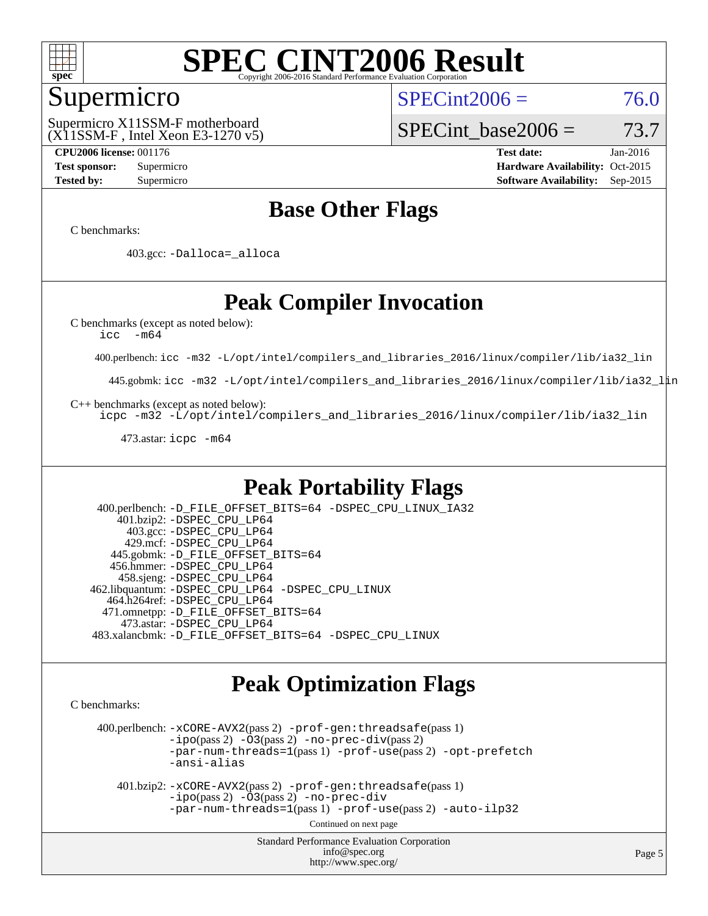

#### Supermicro

 $SPECint2006 = 76.0$  $SPECint2006 = 76.0$ 

(X11SSM-F , Intel Xeon E3-1270 v5) Supermicro X11SSM-F motherboard

SPECint base2006 =  $73.7$ 

**[CPU2006 license:](http://www.spec.org/auto/cpu2006/Docs/result-fields.html#CPU2006license)** 001176 **[Test date:](http://www.spec.org/auto/cpu2006/Docs/result-fields.html#Testdate)** Jan-2016 **[Test sponsor:](http://www.spec.org/auto/cpu2006/Docs/result-fields.html#Testsponsor)** Supermicro Supermicro **[Hardware Availability:](http://www.spec.org/auto/cpu2006/Docs/result-fields.html#HardwareAvailability)** Oct-2015 **[Tested by:](http://www.spec.org/auto/cpu2006/Docs/result-fields.html#Testedby)** Supermicro **Supermicro [Software Availability:](http://www.spec.org/auto/cpu2006/Docs/result-fields.html#SoftwareAvailability)** Sep-2015

## **[Base Other Flags](http://www.spec.org/auto/cpu2006/Docs/result-fields.html#BaseOtherFlags)**

[C benchmarks](http://www.spec.org/auto/cpu2006/Docs/result-fields.html#Cbenchmarks):

403.gcc: [-Dalloca=\\_alloca](http://www.spec.org/cpu2006/results/res2016q1/cpu2006-20160111-38648.flags.html#b403.gcc_baseEXTRA_CFLAGS_Dalloca_be3056838c12de2578596ca5467af7f3)

## **[Peak Compiler Invocation](http://www.spec.org/auto/cpu2006/Docs/result-fields.html#PeakCompilerInvocation)**

[C benchmarks \(except as noted below\)](http://www.spec.org/auto/cpu2006/Docs/result-fields.html#Cbenchmarksexceptasnotedbelow):

[icc -m64](http://www.spec.org/cpu2006/results/res2016q1/cpu2006-20160111-38648.flags.html#user_CCpeak_intel_icc_64bit_f346026e86af2a669e726fe758c88044)

400.perlbench: [icc -m32 -L/opt/intel/compilers\\_and\\_libraries\\_2016/linux/compiler/lib/ia32\\_lin](http://www.spec.org/cpu2006/results/res2016q1/cpu2006-20160111-38648.flags.html#user_peakCCLD400_perlbench_intel_icc_e10256ba5924b668798078a321b0cb3f)

445.gobmk: [icc -m32 -L/opt/intel/compilers\\_and\\_libraries\\_2016/linux/compiler/lib/ia32\\_lin](http://www.spec.org/cpu2006/results/res2016q1/cpu2006-20160111-38648.flags.html#user_peakCCLD445_gobmk_intel_icc_e10256ba5924b668798078a321b0cb3f)

[C++ benchmarks \(except as noted below\):](http://www.spec.org/auto/cpu2006/Docs/result-fields.html#CXXbenchmarksexceptasnotedbelow)

[icpc -m32 -L/opt/intel/compilers\\_and\\_libraries\\_2016/linux/compiler/lib/ia32\\_lin](http://www.spec.org/cpu2006/results/res2016q1/cpu2006-20160111-38648.flags.html#user_CXXpeak_intel_icpc_b4f50a394bdb4597aa5879c16bc3f5c5)

473.astar: [icpc -m64](http://www.spec.org/cpu2006/results/res2016q1/cpu2006-20160111-38648.flags.html#user_peakCXXLD473_astar_intel_icpc_64bit_fc66a5337ce925472a5c54ad6a0de310)

#### **[Peak Portability Flags](http://www.spec.org/auto/cpu2006/Docs/result-fields.html#PeakPortabilityFlags)**

 400.perlbench: [-D\\_FILE\\_OFFSET\\_BITS=64](http://www.spec.org/cpu2006/results/res2016q1/cpu2006-20160111-38648.flags.html#user_peakPORTABILITY400_perlbench_file_offset_bits_64_438cf9856305ebd76870a2c6dc2689ab) [-DSPEC\\_CPU\\_LINUX\\_IA32](http://www.spec.org/cpu2006/results/res2016q1/cpu2006-20160111-38648.flags.html#b400.perlbench_peakCPORTABILITY_DSPEC_CPU_LINUX_IA32) 401.bzip2: [-DSPEC\\_CPU\\_LP64](http://www.spec.org/cpu2006/results/res2016q1/cpu2006-20160111-38648.flags.html#suite_peakPORTABILITY401_bzip2_DSPEC_CPU_LP64) 403.gcc: [-DSPEC\\_CPU\\_LP64](http://www.spec.org/cpu2006/results/res2016q1/cpu2006-20160111-38648.flags.html#suite_peakPORTABILITY403_gcc_DSPEC_CPU_LP64) 429.mcf: [-DSPEC\\_CPU\\_LP64](http://www.spec.org/cpu2006/results/res2016q1/cpu2006-20160111-38648.flags.html#suite_peakPORTABILITY429_mcf_DSPEC_CPU_LP64) 445.gobmk: [-D\\_FILE\\_OFFSET\\_BITS=64](http://www.spec.org/cpu2006/results/res2016q1/cpu2006-20160111-38648.flags.html#user_peakPORTABILITY445_gobmk_file_offset_bits_64_438cf9856305ebd76870a2c6dc2689ab) 456.hmmer: [-DSPEC\\_CPU\\_LP64](http://www.spec.org/cpu2006/results/res2016q1/cpu2006-20160111-38648.flags.html#suite_peakPORTABILITY456_hmmer_DSPEC_CPU_LP64) 458.sjeng: [-DSPEC\\_CPU\\_LP64](http://www.spec.org/cpu2006/results/res2016q1/cpu2006-20160111-38648.flags.html#suite_peakPORTABILITY458_sjeng_DSPEC_CPU_LP64) 462.libquantum: [-DSPEC\\_CPU\\_LP64](http://www.spec.org/cpu2006/results/res2016q1/cpu2006-20160111-38648.flags.html#suite_peakPORTABILITY462_libquantum_DSPEC_CPU_LP64) [-DSPEC\\_CPU\\_LINUX](http://www.spec.org/cpu2006/results/res2016q1/cpu2006-20160111-38648.flags.html#b462.libquantum_peakCPORTABILITY_DSPEC_CPU_LINUX) 464.h264ref: [-DSPEC\\_CPU\\_LP64](http://www.spec.org/cpu2006/results/res2016q1/cpu2006-20160111-38648.flags.html#suite_peakPORTABILITY464_h264ref_DSPEC_CPU_LP64) 471.omnetpp: [-D\\_FILE\\_OFFSET\\_BITS=64](http://www.spec.org/cpu2006/results/res2016q1/cpu2006-20160111-38648.flags.html#user_peakPORTABILITY471_omnetpp_file_offset_bits_64_438cf9856305ebd76870a2c6dc2689ab) 473.astar: [-DSPEC\\_CPU\\_LP64](http://www.spec.org/cpu2006/results/res2016q1/cpu2006-20160111-38648.flags.html#suite_peakPORTABILITY473_astar_DSPEC_CPU_LP64) 483.xalancbmk: [-D\\_FILE\\_OFFSET\\_BITS=64](http://www.spec.org/cpu2006/results/res2016q1/cpu2006-20160111-38648.flags.html#user_peakPORTABILITY483_xalancbmk_file_offset_bits_64_438cf9856305ebd76870a2c6dc2689ab) [-DSPEC\\_CPU\\_LINUX](http://www.spec.org/cpu2006/results/res2016q1/cpu2006-20160111-38648.flags.html#b483.xalancbmk_peakCXXPORTABILITY_DSPEC_CPU_LINUX)

#### **[Peak Optimization Flags](http://www.spec.org/auto/cpu2006/Docs/result-fields.html#PeakOptimizationFlags)**

[C benchmarks](http://www.spec.org/auto/cpu2006/Docs/result-fields.html#Cbenchmarks):

 400.perlbench: [-xCORE-AVX2](http://www.spec.org/cpu2006/results/res2016q1/cpu2006-20160111-38648.flags.html#user_peakPASS2_CFLAGSPASS2_LDCFLAGS400_perlbench_f-xAVX2_5f5fc0cbe2c9f62c816d3e45806c70d7)(pass 2) [-prof-gen:threadsafe](http://www.spec.org/cpu2006/results/res2016q1/cpu2006-20160111-38648.flags.html#user_peakPASS1_CFLAGSPASS1_LDCFLAGS400_perlbench_prof_gen_21a26eb79f378b550acd7bec9fe4467a)(pass 1)  $-i\text{po}(pass 2) -\tilde{O}3(pass 2)$  [-no-prec-div](http://www.spec.org/cpu2006/results/res2016q1/cpu2006-20160111-38648.flags.html#user_peakPASS2_CFLAGSPASS2_LDCFLAGS400_perlbench_f-no-prec-div)(pass 2) [-par-num-threads=1](http://www.spec.org/cpu2006/results/res2016q1/cpu2006-20160111-38648.flags.html#user_peakPASS1_CFLAGSPASS1_LDCFLAGS400_perlbench_par_num_threads_786a6ff141b4e9e90432e998842df6c2)(pass 1) [-prof-use](http://www.spec.org/cpu2006/results/res2016q1/cpu2006-20160111-38648.flags.html#user_peakPASS2_CFLAGSPASS2_LDCFLAGS400_perlbench_prof_use_bccf7792157ff70d64e32fe3e1250b55)(pass 2) [-opt-prefetch](http://www.spec.org/cpu2006/results/res2016q1/cpu2006-20160111-38648.flags.html#user_peakCOPTIMIZE400_perlbench_f-opt-prefetch) [-ansi-alias](http://www.spec.org/cpu2006/results/res2016q1/cpu2006-20160111-38648.flags.html#user_peakCOPTIMIZE400_perlbench_f-ansi-alias)

 401.bzip2: [-xCORE-AVX2](http://www.spec.org/cpu2006/results/res2016q1/cpu2006-20160111-38648.flags.html#user_peakPASS2_CFLAGSPASS2_LDCFLAGS401_bzip2_f-xAVX2_5f5fc0cbe2c9f62c816d3e45806c70d7)(pass 2) [-prof-gen:threadsafe](http://www.spec.org/cpu2006/results/res2016q1/cpu2006-20160111-38648.flags.html#user_peakPASS1_CFLAGSPASS1_LDCFLAGS401_bzip2_prof_gen_21a26eb79f378b550acd7bec9fe4467a)(pass 1)  $-i\text{po}(pass 2) -\overline{O}3(pass 2)$  [-no-prec-div](http://www.spec.org/cpu2006/results/res2016q1/cpu2006-20160111-38648.flags.html#user_peakCOPTIMIZEPASS2_CFLAGSPASS2_LDCFLAGS401_bzip2_f-no-prec-div) [-par-num-threads=1](http://www.spec.org/cpu2006/results/res2016q1/cpu2006-20160111-38648.flags.html#user_peakPASS1_CFLAGSPASS1_LDCFLAGS401_bzip2_par_num_threads_786a6ff141b4e9e90432e998842df6c2)(pass 1) [-prof-use](http://www.spec.org/cpu2006/results/res2016q1/cpu2006-20160111-38648.flags.html#user_peakPASS2_CFLAGSPASS2_LDCFLAGS401_bzip2_prof_use_bccf7792157ff70d64e32fe3e1250b55)(pass 2) [-auto-ilp32](http://www.spec.org/cpu2006/results/res2016q1/cpu2006-20160111-38648.flags.html#user_peakCOPTIMIZE401_bzip2_f-auto-ilp32)

Continued on next page

Standard Performance Evaluation Corporation [info@spec.org](mailto:info@spec.org) <http://www.spec.org/>

Page 5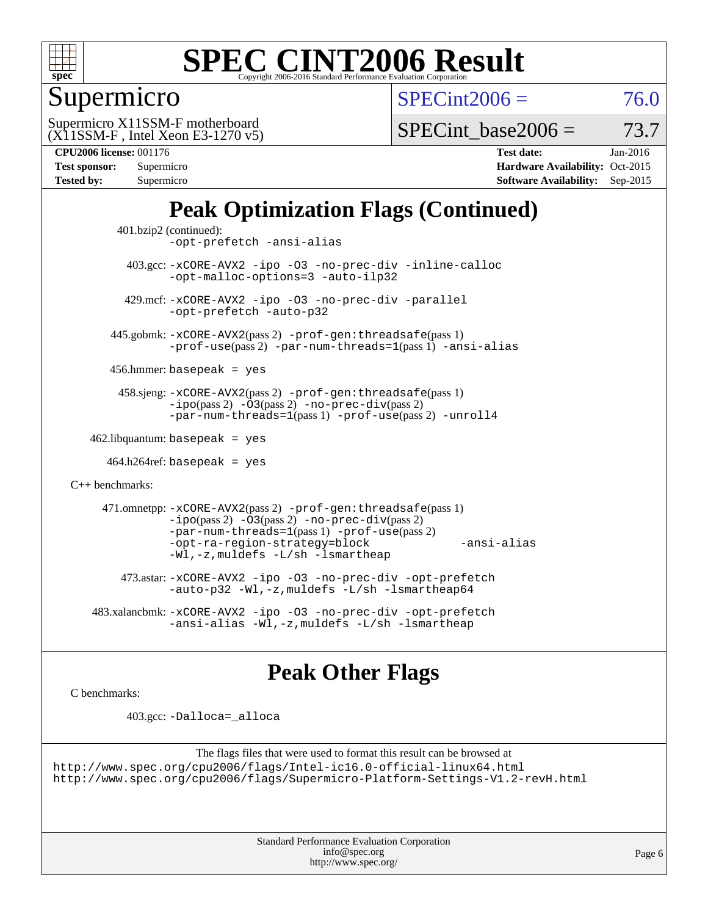

## Supermicro

 $SPECint2006 = 76.0$  $SPECint2006 = 76.0$ 

(X11SSM-F , Intel Xeon E3-1270 v5) Supermicro X11SSM-F motherboard

SPECint base2006 =  $73.7$ 

**[CPU2006 license:](http://www.spec.org/auto/cpu2006/Docs/result-fields.html#CPU2006license)** 001176 **[Test date:](http://www.spec.org/auto/cpu2006/Docs/result-fields.html#Testdate)** Jan-2016

| Test sponsor:     | Supermicro |
|-------------------|------------|
| <b>Tested by:</b> | Supermicro |

**[Hardware Availability:](http://www.spec.org/auto/cpu2006/Docs/result-fields.html#HardwareAvailability)** Oct-2015 **[Software Availability:](http://www.spec.org/auto/cpu2006/Docs/result-fields.html#SoftwareAvailability)** Sep-2015

## **[Peak Optimization Flags \(Continued\)](http://www.spec.org/auto/cpu2006/Docs/result-fields.html#PeakOptimizationFlags)**

```
 401.bzip2 (continued):
                -opt-prefetch -ansi-alias
          403.gcc: -xCORE-AVX2 -ipo -O3 -no-prec-div -inline-calloc
                -opt-malloc-options=3 -auto-ilp32
         429.mcf: -xCORE-AVX2 -ipo -O3 -no-prec-div -parallel
                -opt-prefetch -auto-p32
       445.gobmk: -xCORE-AVX2(pass 2) -prof-gen:threadsafe(pass 1)
                -prof-use(pass 2) -par-num-threads=1(pass 1) -ansi-alias
       456.hmmer: basepeak = yes
        458.sjeng: -xCORE-AVX2(pass 2) -prof-gen:threadsafe(pass 1)
                -i\text{po}(pass 2) -\tilde{O}3(pass 2)-no-prec-div(pass 2)
                -par-num-threads=1(pass 1) -prof-use(pass 2) -unroll4
   462.libquantum: basepeak = yes
     464.h264ref: basepeak = yes
C++ benchmarks: 
      471.omnetpp: -xCORE-AVX2(pass 2) -prof-gen:threadsafe(pass 1)
                -i\text{po}(pass 2) -\overline{O}3(pass 2) -no-\overline{prec}\-div(pass 2)-par-num-threads=1(pass 1) -prof-use(pass 2)
                -opt-ra-region-strategy=block -ansi-alias
                -Wl,-z,muldefs -L/sh -lsmartheap
         473.astar: -xCORE-AVX2 -ipo -O3 -no-prec-div -opt-prefetch
                -auto-p32 -Wl,-z,muldefs -L/sh -lsmartheap64
    483.xalancbmk: -xCORE-AVX2 -ipo -O3 -no-prec-div -opt-prefetch
                -ansi-alias-L/sh -lsmartheap
```
## **[Peak Other Flags](http://www.spec.org/auto/cpu2006/Docs/result-fields.html#PeakOtherFlags)**

[C benchmarks](http://www.spec.org/auto/cpu2006/Docs/result-fields.html#Cbenchmarks):

403.gcc: [-Dalloca=\\_alloca](http://www.spec.org/cpu2006/results/res2016q1/cpu2006-20160111-38648.flags.html#b403.gcc_peakEXTRA_CFLAGS_Dalloca_be3056838c12de2578596ca5467af7f3)

```
The flags files that were used to format this result can be browsed at
http://www.spec.org/cpu2006/flags/Intel-ic16.0-official-linux64.html
http://www.spec.org/cpu2006/flags/Supermicro-Platform-Settings-V1.2-revH.html
```
Standard Performance Evaluation Corporation [info@spec.org](mailto:info@spec.org) <http://www.spec.org/>